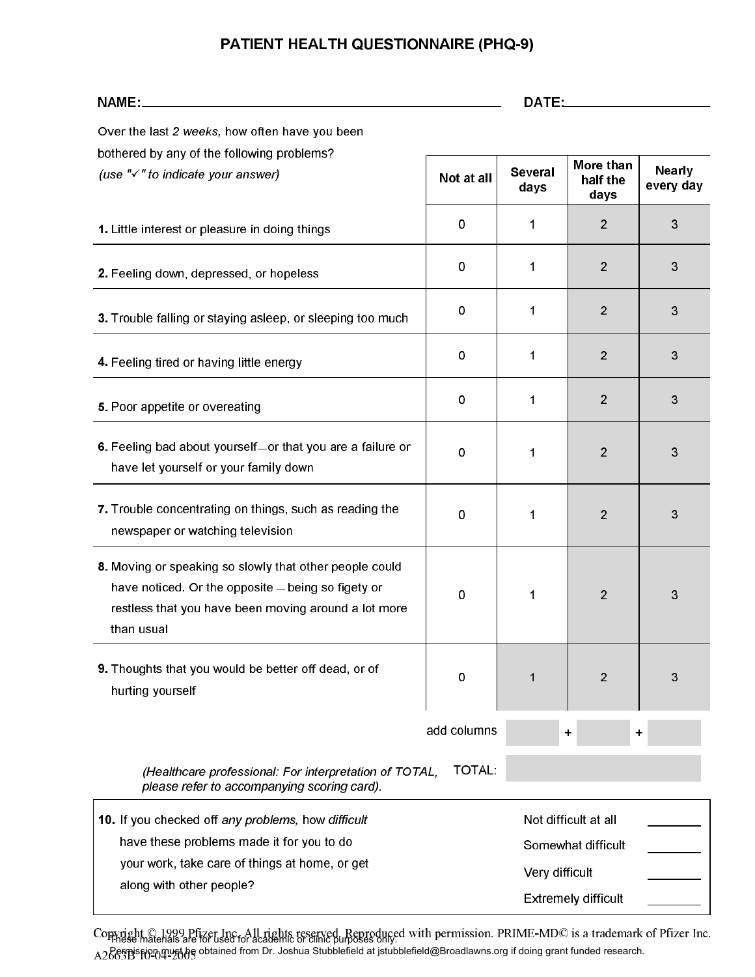# PATIENT HEALTH QUESTIONNAIRE (PHQ-9)

| NAME:                                                                                                                                                                               | DATE:       |                        |                                                                          |                            |
|-------------------------------------------------------------------------------------------------------------------------------------------------------------------------------------|-------------|------------------------|--------------------------------------------------------------------------|----------------------------|
| Over the last 2 weeks, how often have you been                                                                                                                                      |             |                        |                                                                          |                            |
| bothered by any of the following problems?<br>(use "√" to indicate your answer)                                                                                                     | Not at all  | <b>Several</b><br>days | More than<br>half the<br>days                                            | <b>Nearly</b><br>every day |
| 1. Little interest or pleasure in doing things                                                                                                                                      | 0           | 1                      | $\overline{2}$                                                           | 3                          |
| 2. Feeling down, depressed, or hopeless                                                                                                                                             | 0           | 1                      | $\overline{2}$                                                           | 3                          |
| 3. Trouble falling or staying asleep, or sleeping too much                                                                                                                          | 0           | 1                      | $\overline{2}$                                                           | 3                          |
| 4. Feeling tired or having little energy                                                                                                                                            | 0           | 1                      | $\overline{2}$                                                           | 3                          |
| 5. Poor appetite or overeating                                                                                                                                                      | 0           | 1                      | $\overline{2}$                                                           | 3                          |
| 6. Feeling bad about yourself-or that you are a failure or<br>have let yourself or your family down                                                                                 | 0           | 1                      | $\overline{2}$                                                           | 3                          |
| 7. Trouble concentrating on things, such as reading the<br>newspaper or watching television                                                                                         | 0           | 1                      | 2                                                                        | 3                          |
| 8. Moving or speaking so slowly that other people could<br>have noticed. Or the opposite - being so figety or<br>restless that you have been moving around a lot more<br>than usual | 0           | 1                      | $\overline{2}$                                                           | 3                          |
| 9. Thoughts that you would be better off dead, or of<br>hurting yourself                                                                                                            | 0           | 1                      | $\overline{2}$                                                           | 3                          |
|                                                                                                                                                                                     | add columns |                        | +                                                                        | +                          |
| (Healthcare professional: For interpretation of TOTAL,<br>please refer to accompanying scoring card).                                                                               | TOTAL:      |                        |                                                                          |                            |
| 10. If you checked off any problems, how difficult<br>have these problems made it for you to do<br>your work, take care of things at home, or get<br>along with other people?       |             | Very difficult         | Not difficult at all<br>Somewhat difficult<br><b>Extremely difficult</b> |                            |

Copyright © 1999 Pfizer Inc. All rights reserved. Reproduced with permission. PRIME-MD© is a trademark of Pfizer Inc. A2663B 10-04-2005 These materials are for used for academic or clinic purposes only. Permisթion must իe obtained from Dr. Joshua Stubblefield at jstubblefield@Broadlawns.org if doing grant funded research.